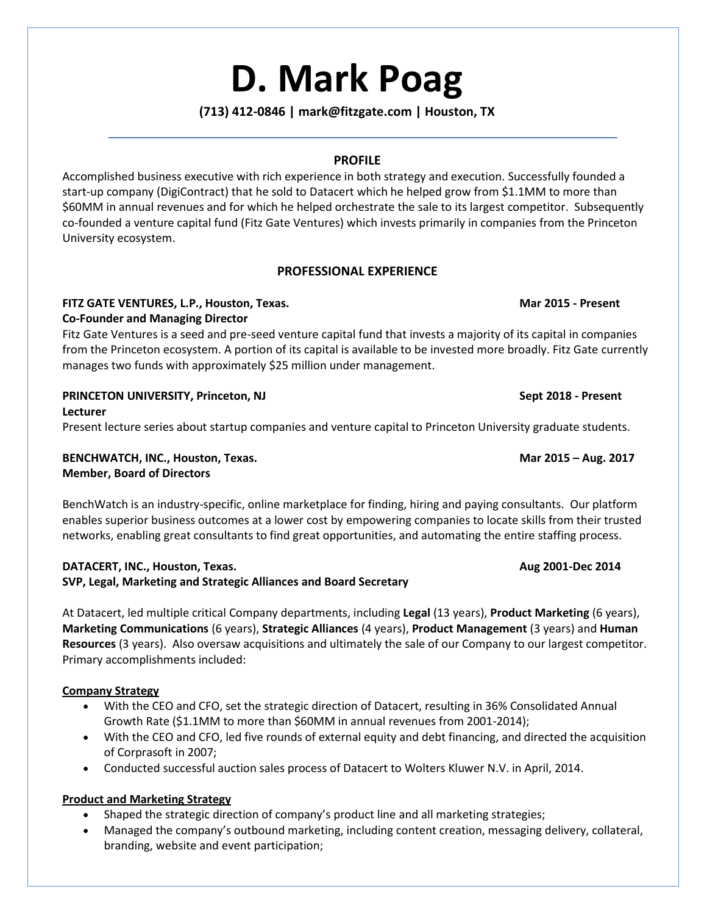# **D. Mark Poag**

### **(713) 412-0846 | mark@fitzgate.com | Houston, TX**

### **PROFILE**

Accomplished business executive with rich experience in both strategy and execution. Successfully founded a start-up company (DigiContract) that he sold to Datacert which he helped grow from \$1.1MM to more than \$60MM in annual revenues and for which he helped orchestrate the sale to its largest competitor. Subsequently co-founded a venture capital fund (Fitz Gate Ventures) which invests primarily in companies from the Princeton University ecosystem.

### **PROFESSIONAL EXPERIENCE**

### **FITZ GATE VENTURES, L.P., Houston, Texas. Mar 2015 - Present Co-Founder and Managing Director**

Fitz Gate Ventures is a seed and pre-seed venture capital fund that invests a majority of its capital in companies from the Princeton ecosystem. A portion of its capital is available to be invested more broadly. Fitz Gate currently manages two funds with approximately \$25 million under management.

# **PRINCETON UNIVERSITY, Princeton, NJ Sept 2018 - Present**

**Lecturer** 

Present lecture series about startup companies and venture capital to Princeton University graduate students.

**BENCHWATCH, INC., Houston, Texas. Mar 2015 – Aug. 2017 Member, Board of Directors**

BenchWatch is an industry-specific, online marketplace for finding, hiring and paying consultants. Our platform enables superior business outcomes at a lower cost by empowering companies to locate skills from their trusted networks, enabling great consultants to find great opportunities, and automating the entire staffing process.

# **DATACERT, INC., Houston, Texas. Aug 2001-Dec 2014 SVP, Legal, Marketing and Strategic Alliances and Board Secretary**

At Datacert, led multiple critical Company departments, including **Legal** (13 years), **Product Marketing** (6 years), **Marketing Communications** (6 years), **Strategic Alliances** (4 years), **Product Management** (3 years) and **Human Resources** (3 years). Also oversaw acquisitions and ultimately the sale of our Company to our largest competitor. Primary accomplishments included:

### **Company Strategy**

- With the CEO and CFO, set the strategic direction of Datacert, resulting in 36% Consolidated Annual Growth Rate (\$1.1MM to more than \$60MM in annual revenues from 2001-2014);
- With the CEO and CFO, led five rounds of external equity and debt financing, and directed the acquisition of Corprasoft in 2007;
- Conducted successful auction sales process of Datacert to Wolters Kluwer N.V. in April, 2014.

# **Product and Marketing Strategy**

- Shaped the strategic direction of company's product line and all marketing strategies;
- Managed the company's outbound marketing, including content creation, messaging delivery, collateral, branding, website and event participation;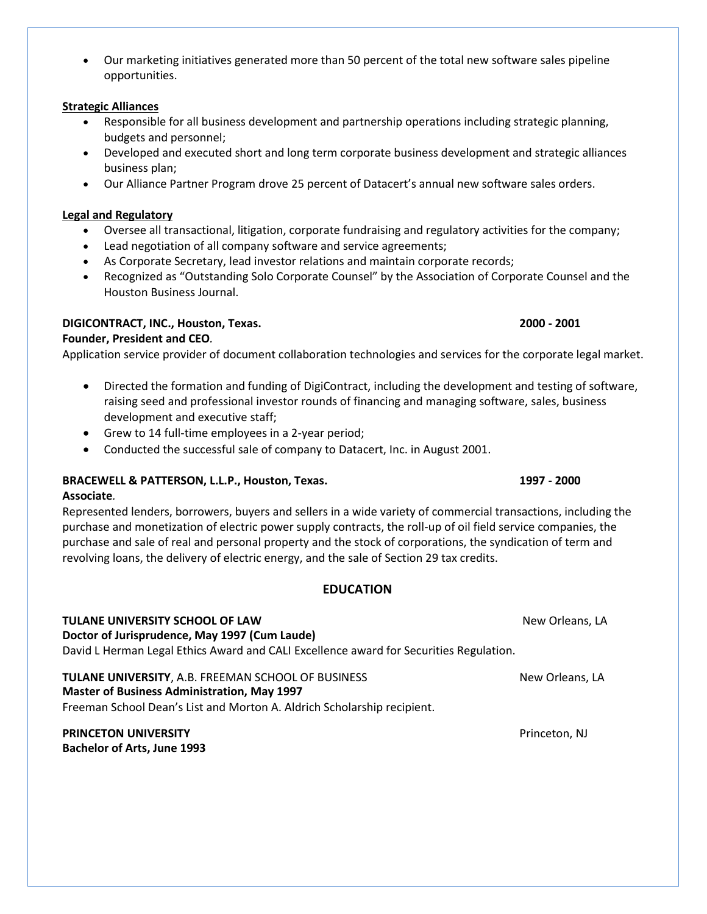• Our marketing initiatives generated more than 50 percent of the total new software sales pipeline opportunities.

# **Strategic Alliances**

- Responsible for all business development and partnership operations including strategic planning, budgets and personnel;
- Developed and executed short and long term corporate business development and strategic alliances business plan;
- Our Alliance Partner Program drove 25 percent of Datacert's annual new software sales orders.

# **Legal and Regulatory**

- Oversee all transactional, litigation, corporate fundraising and regulatory activities for the company;
- Lead negotiation of all company software and service agreements;
- As Corporate Secretary, lead investor relations and maintain corporate records;
- Recognized as "Outstanding Solo Corporate Counsel" by the Association of Corporate Counsel and the Houston Business Journal.

# **DIGICONTRACT, INC., Houston, Texas. 2000 - 2001**

**Founder, President and CEO***.* Application service provider of document collaboration technologies and services for the corporate legal market.

- Directed the formation and funding of DigiContract, including the development and testing of software, raising seed and professional investor rounds of financing and managing software, sales, business development and executive staff;
- Grew to 14 full-time employees in a 2-year period;
- Conducted the successful sale of company to Datacert, Inc. in August 2001.

# **BRACEWELL & PATTERSON, L.L.P., Houston, Texas. 1997 - 2000**

# **Associate***.*

Represented lenders, borrowers, buyers and sellers in a wide variety of commercial transactions, including the purchase and monetization of electric power supply contracts, the roll-up of oil field service companies, the purchase and sale of real and personal property and the stock of corporations, the syndication of term and revolving loans, the delivery of electric energy, and the sale of Section 29 tax credits.

# **EDUCATION**

**TULANE UNIVERSITY SCHOOL OF LAW** New Orleans, LA **Doctor of Jurisprudence, May 1997 (Cum Laude)** David L Herman Legal Ethics Award and CALI Excellence award for Securities Regulation. **TULANE UNIVERSITY**, A.B. FREEMAN SCHOOL OF BUSINESS New Orleans, LA **Master of Business Administration, May 1997**

Freeman School Dean's List and Morton A. Aldrich Scholarship recipient.

# **PRINCETON UNIVERSITY PRINCETON UNIVERSITY Bachelor of Arts, June 1993**